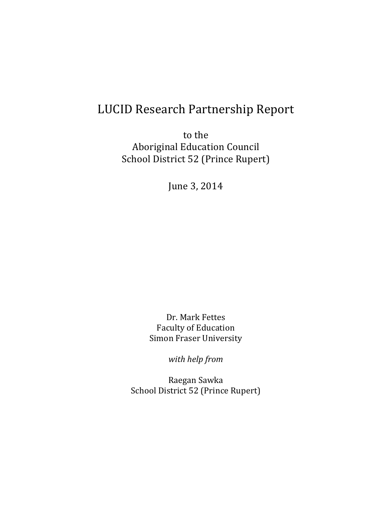# LUCID Research Partnership Report

to the Aboriginal Education Council School District 52 (Prince Rupert)

June 3, 2014

Dr. Mark Fettes Faculty of Education Simon Fraser University

*with help from*

Raegan Sawka School District 52 (Prince Rupert)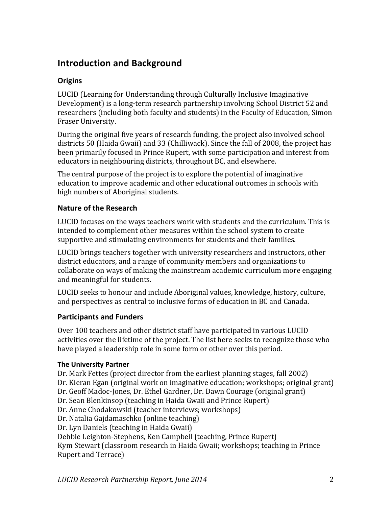### **Introduction and Background**

### **Origins**

LUCID (Learning for Understanding through Culturally Inclusive Imaginative Development) is a long-term research partnership involving School District 52 and researchers (including both faculty and students) in the Faculty of Education, Simon Fraser University.

During the original five years of research funding, the project also involved school districts 50 (Haida Gwaii) and 33 (Chilliwack). Since the fall of 2008, the project has been primarily focused in Prince Rupert, with some participation and interest from educators in neighbouring districts, throughout BC, and elsewhere.

The central purpose of the project is to explore the potential of imaginative education to improve academic and other educational outcomes in schools with high numbers of Aboriginal students.

### **Nature of the Research**

LUCID focuses on the ways teachers work with students and the curriculum. This is intended to complement other measures within the school system to create supportive and stimulating environments for students and their families.

LUCID brings teachers together with university researchers and instructors, other district educators, and a range of community members and organizations to collaborate on ways of making the mainstream academic curriculum more engaging and meaningful for students.

LUCID seeks to honour and include Aboriginal values, knowledge, history, culture, and perspectives as central to inclusive forms of education in BC and Canada.

### **Participants and Funders**

Over 100 teachers and other district staff have participated in various LUCID activities over the lifetime of the project. The list here seeks to recognize those who have played a leadership role in some form or other over this period.

### **The University Partner**

Dr. Mark Fettes (project director from the earliest planning stages, fall 2002)

- Dr. Kieran Egan (original work on imaginative education; workshops; original grant)
- Dr. Geoff Madoc-Jones, Dr. Ethel Gardner, Dr. Dawn Courage (original grant)
- Dr. Sean Blenkinsop (teaching in Haida Gwaii and Prince Rupert)
- Dr. Anne Chodakowski (teacher interviews; workshops)
- Dr. Natalia Gajdamaschko (online teaching)
- Dr. Lyn Daniels (teaching in Haida Gwaii)

Debbie Leighton-Stephens, Ken Campbell (teaching, Prince Rupert) Kym Stewart (classroom research in Haida Gwaii; workshops; teaching in Prince Rupert and Terrace)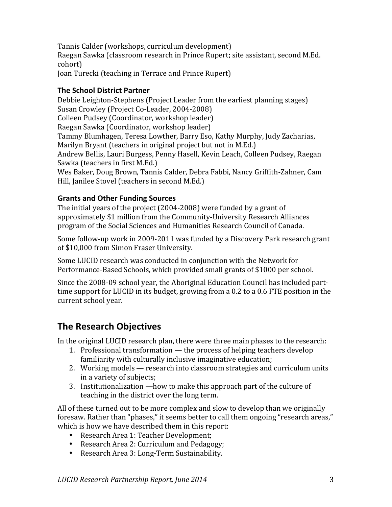Tannis Calder (workshops, curriculum development) Raegan Sawka (classroom research in Prince Rupert; site assistant, second M.Ed. cohort) Joan Turecki (teaching in Terrace and Prince Rupert)

### **The School District Partner**

Debbie Leighton-Stephens (Project Leader from the earliest planning stages) Susan Crowley (Project Co-Leader, 2004-2008) Colleen Pudsey (Coordinator, workshop leader) Raegan Sawka (Coordinator, workshop leader) Tammy Blumhagen, Teresa Lowther, Barry Eso, Kathy Murphy, Judy Zacharias, Marilyn Bryant (teachers in original project but not in M.Ed.) Andrew Bellis, Lauri Burgess, Penny Hasell, Kevin Leach, Colleen Pudsey, Raegan Sawka (teachers in first M.Ed.) Wes Baker, Doug Brown, Tannis Calder, Debra Fabbi, Nancy Griffith-Zahner, Cam Hill, Janilee Stovel (teachers in second M.Ed.)

### **Grants and Other Funding Sources**

The initial years of the project  $(2004-2008)$  were funded by a grant of approximately \$1 million from the Community-University Research Alliances program of the Social Sciences and Humanities Research Council of Canada.

Some follow-up work in 2009-2011 was funded by a Discovery Park research grant of \$10,000 from Simon Fraser University.

Some LUCID research was conducted in conjunction with the Network for Performance-Based Schools, which provided small grants of \$1000 per school.

Since the 2008-09 school year, the Aboriginal Education Council has included parttime support for LUCID in its budget, growing from a  $0.2$  to a  $0.6$  FTE position in the current school year.

### **The Research Objectives**

In the original LUCID research plan, there were three main phases to the research:

- 1. Professional transformation  $-$  the process of helping teachers develop familiarity with culturally inclusive imaginative education;
- 2. Working models research into classroom strategies and curriculum units in a variety of subjects;
- 3. Institutionalization —how to make this approach part of the culture of teaching in the district over the long term.

All of these turned out to be more complex and slow to develop than we originally foresaw. Rather than "phases," it seems better to call them ongoing "research areas," which is how we have described them in this report:

- Research Area 1: Teacher Development;
- Research Area 2: Curriculum and Pedagogy;
- Research Area 3: Long-Term Sustainability.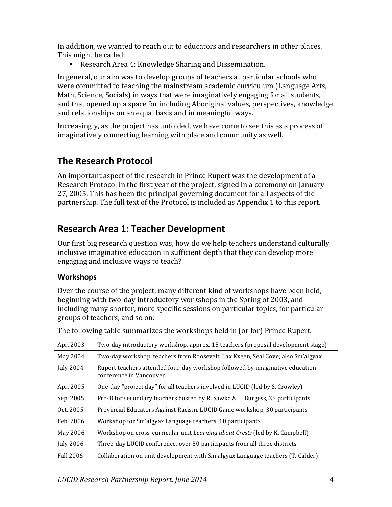In addition, we wanted to reach out to educators and researchers in other places. This might be called:

• Research Area 4: Knowledge Sharing and Dissemination.

In general, our aim was to develop groups of teachers at particular schools who were committed to teaching the mainstream academic curriculum (Language Arts, Math, Science, Socials) in ways that were imaginatively engaging for all students, and that opened up a space for including Aboriginal values, perspectives, knowledge and relationships on an equal basis and in meaningful ways.

Increasingly, as the project has unfolded, we have come to see this as a process of imaginatively connecting learning with place and community as well.

# **The Research Protocol**

An important aspect of the research in Prince Rupert was the development of a Research Protocol in the first year of the project, signed in a ceremony on January 27, 2005. This has been the principal governing document for all aspects of the partnership. The full text of the Protocol is included as Appendix 1 to this report.

# **Research Area 1: Teacher Development**

Our first big research question was, how do we help teachers understand culturally inclusive imaginative education in sufficient depth that they can develop more engaging and inclusive ways to teach?

### **Workshops**

Over the course of the project, many different kind of workshops have been held, beginning with two-day introductory workshops in the Spring of 2003, and including many shorter, more specific sessions on particular topics, for particular groups of teachers, and so on.

| Apr. 2003        | Two-day introductory workshop, approx. 15 teachers (proposal development stage)                         |  |  |
|------------------|---------------------------------------------------------------------------------------------------------|--|--|
| May 2004         | Two-day workshop, teachers from Roosevelt, Lax Kxeen, Seal Cove; also Sm'algyax                         |  |  |
| <b>July 2004</b> | Rupert teachers attended four-day workshop followed by imaginative education<br>conference in Vancouver |  |  |
| Apr. 2005        | One-day "project day" for all teachers involved in LUCID (led by S. Crowley)                            |  |  |
| Sep. 2005        | Pro-D for secondary teachers hosted by R. Sawka & L. Burgess, 35 participants                           |  |  |
| Oct. 2005        | Provincial Educators Against Racism, LUCID Game workshop, 30 participants                               |  |  |
| Feb. 2006        | Workshop for Sm'algyax Language teachers, 10 participants                                               |  |  |
| May 2006         | Workshop on cross-curricular unit <i>Learning about Crests</i> (led by K. Campbell)                     |  |  |
| <b>July 2006</b> | Three-day LUCID conference, over 50 participants from all three districts                               |  |  |
| <b>Fall 2006</b> | Collaboration on unit development with Sm'algyax Language teachers (T. Calder)                          |  |  |

The following table summarizes the workshops held in (or for) Prince Rupert.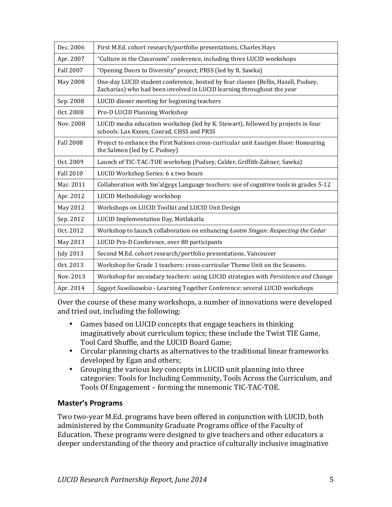| Dec. 2006        | First M.Ed. cohort research/portfolio presentations, Charles Hays                                                                                           |  |  |
|------------------|-------------------------------------------------------------------------------------------------------------------------------------------------------------|--|--|
| Apr. 2007        | "Culture in the Classroom" conference, including three LUCID workshops                                                                                      |  |  |
| <b>Fall 2007</b> | "Opening Doors to Diversity" project, PRSS (led by R. Sawka)                                                                                                |  |  |
| May 2008         | One-day LUCID student conference, hosted by four classes (Bellis, Hasell, Pudsey,<br>Zacharias) who had been involved in LUCID learning throughout the year |  |  |
| Sep. 2008        | LUCID dinner meeting for beginning teachers                                                                                                                 |  |  |
| Oct. 2008        | Pro-D LUCID Planning Workshop                                                                                                                               |  |  |
| Nov. 2008        | LUCID media education workshop (led by K. Stewart), followed by projects in four<br>schools: Lax Kxeen, Conrad, CHSS and PRSS                               |  |  |
| <b>Fall 2008</b> | Project to enhance the First Nations cross-curricular unit <i>Łuutigm Hoon</i> : Honouring<br>the Salmon (led by C. Pudsey)                                 |  |  |
| Oct. 2009        | Launch of TIC-TAC-TOE workshop (Pudsey, Calder, Griffith-Zahner, Sawka)                                                                                     |  |  |
| <b>Fall 2010</b> | LUCID Workshop Series: 6 x two hours                                                                                                                        |  |  |
| Mar. 2011        | Collaboration with Sm'algyax Language teachers: use of cognitive tools in grades 5-12                                                                       |  |  |
| Apr. 2012        | LUCID Methodology workshop                                                                                                                                  |  |  |
| May 2012         | Workshops on LUCID Toolkit and LUCID Unit Design                                                                                                            |  |  |
| Sep. 2012        | LUCID Implementation Day, Metlakatla                                                                                                                        |  |  |
| Oct. 2012        | Workshop to launch collaboration on enhancing <i>Łootm Smgan: Respecting the Cedar</i>                                                                      |  |  |
| May 2013         | LUCID Pro-D Conference, over 80 participants                                                                                                                |  |  |
| <b>July 2013</b> | Second M.Ed. cohort research/portfolio presentations, Vancouver                                                                                             |  |  |
| Oct. 2013        | Workshop for Grade 1 teachers: cross-curricular Theme Unit on the Seasons.                                                                                  |  |  |
| Nov. 2013        | Workshop for secondary teachers: using LUCID strategies with Persistence and Change                                                                         |  |  |
| Apr. 2014        | Sagayt Suwilaawksa - Learning Together Conference: several LUCID workshops                                                                                  |  |  |

Over the course of these many workshops, a number of innovations were developed and tried out, including the following:

- Games based on LUCID concepts that engage teachers in thinking imaginatively about curriculum topics; these include the Twist TIE Game, Tool Card Shuffle, and the LUCID Board Game;
- Circular planning charts as alternatives to the traditional linear frameworks developed by Egan and others;
- Grouping the various key concepts in LUCID unit planning into three categories: Tools for Including Community, Tools Across the Curriculum, and Tools Of Engagement - forming the mnemonic TIC-TAC-TOE.

### **Master's Programs**

Two two-year M.Ed. programs have been offered in conjunction with LUCID, both administered by the Community Graduate Programs office of the Faculty of Education. These programs were designed to give teachers and other educators a deeper understanding of the theory and practice of culturally inclusive imaginative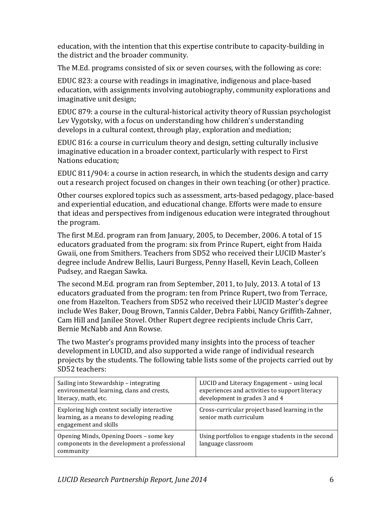education, with the intention that this expertise contribute to capacity-building in the district and the broader community.

The M.Ed. programs consisted of six or seven courses, with the following as core:

EDUC 823: a course with readings in imaginative, indigenous and place-based education, with assignments involving autobiography, community explorations and imaginative unit design;

EDUC 879: a course in the cultural-historical activity theory of Russian psychologist Lev Vygotsky, with a focus on understanding how children's understanding develops in a cultural context, through play, exploration and mediation;

EDUC 816: a course in curriculum theory and design, setting culturally inclusive imaginative education in a broader context, particularly with respect to First Nations education:

EDUC 811/904: a course in action research, in which the students design and carry out a research project focused on changes in their own teaching (or other) practice.

Other courses explored topics such as assessment, arts-based pedagogy, place-based and experiential education, and educational change. Efforts were made to ensure that ideas and perspectives from indigenous education were integrated throughout the program.

The first M.Ed. program ran from January, 2005, to December, 2006. A total of 15 educators graduated from the program: six from Prince Rupert, eight from Haida Gwaii, one from Smithers. Teachers from SD52 who received their LUCID Master's degree include Andrew Bellis, Lauri Burgess, Penny Hasell, Kevin Leach, Colleen Pudsey, and Raegan Sawka.

The second M.Ed. program ran from September, 2011, to July, 2013. A total of 13 educators graduated from the program: ten from Prince Rupert, two from Terrace, one from Hazelton. Teachers from SD52 who received their LUCID Master's degree include Wes Baker, Doug Brown, Tannis Calder, Debra Fabbi, Nancy Griffith-Zahner, Cam Hill and Janilee Stovel. Other Rupert degree recipients include Chris Carr, Bernie McNabb and Ann Rowse.

The two Master's programs provided many insights into the process of teacher development in LUCID, and also supported a wide range of individual research projects by the students. The following table lists some of the projects carried out by SD52 teachers:

| Sailing into Stewardship - integrating<br>environmental learning, clans and crests,<br>literacy, math, etc.        | LUCID and Literacy Engagement - using local<br>experiences and activities to support literacy<br>development in grades 3 and 4 |
|--------------------------------------------------------------------------------------------------------------------|--------------------------------------------------------------------------------------------------------------------------------|
| Exploring high context socially interactive<br>learning, as a means to developing reading<br>engagement and skills | Cross-curricular project based learning in the<br>senior math curriculum                                                       |
| Opening Minds, Opening Doors - some key<br>components in the development a professional<br>community               | Using portfolios to engage students in the second<br>language classroom                                                        |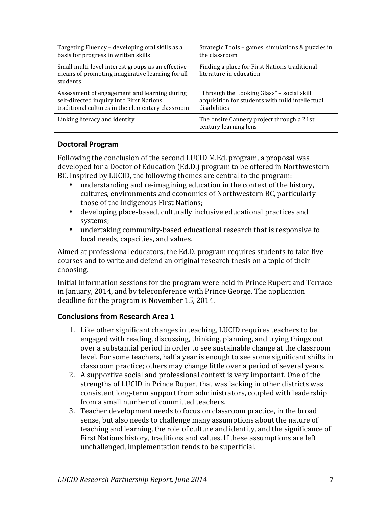| Targeting Fluency - developing oral skills as a                                                                  | Strategic Tools - games, simulations & puzzles in                        |  |
|------------------------------------------------------------------------------------------------------------------|--------------------------------------------------------------------------|--|
| basis for progress in written skills                                                                             | the classroom                                                            |  |
| Small multi-level interest groups as an effective<br>means of promoting imaginative learning for all<br>students | Finding a place for First Nations traditional<br>literature in education |  |
| Assessment of engagement and learning during                                                                     | "Through the Looking Glass" - social skill                               |  |
| self-directed inquiry into First Nations                                                                         | acquisition for students with mild intellectual                          |  |
| traditional cultures in the elementary classroom                                                                 | disabilities                                                             |  |
| Linking literacy and identity                                                                                    | The onsite Cannery project through a 21st<br>century learning lens       |  |

### **Doctoral Program**

Following the conclusion of the second LUCID M.Ed. program, a proposal was developed for a Doctor of Education (Ed.D.) program to be offered in Northwestern BC. Inspired by LUCID, the following themes are central to the program:

- understanding and re-imagining education in the context of the history, cultures, environments and economies of Northwestern BC, particularly those of the indigenous First Nations:
- developing place-based, culturally inclusive educational practices and systems;
- undertaking community-based educational research that is responsive to local needs, capacities, and values.

Aimed at professional educators, the Ed.D. program requires students to take five courses and to write and defend an original research thesis on a topic of their choosing.

Initial information sessions for the program were held in Prince Rupert and Terrace in January, 2014, and by teleconference with Prince George. The application deadline for the program is November 15, 2014.

### **Conclusions from Research Area 1**

- 1. Like other significant changes in teaching, LUCID requires teachers to be engaged with reading, discussing, thinking, planning, and trying things out over a substantial period in order to see sustainable change at the classroom level. For some teachers, half a year is enough to see some significant shifts in classroom practice; others may change little over a period of several years.
- 2. A supportive social and professional context is very important. One of the strengths of LUCID in Prince Rupert that was lacking in other districts was consistent long-term support from administrators, coupled with leadership from a small number of committed teachers.
- 3. Teacher development needs to focus on classroom practice, in the broad sense, but also needs to challenge many assumptions about the nature of teaching and learning, the role of culture and identity, and the significance of First Nations history, traditions and values. If these assumptions are left unchallenged, implementation tends to be superficial.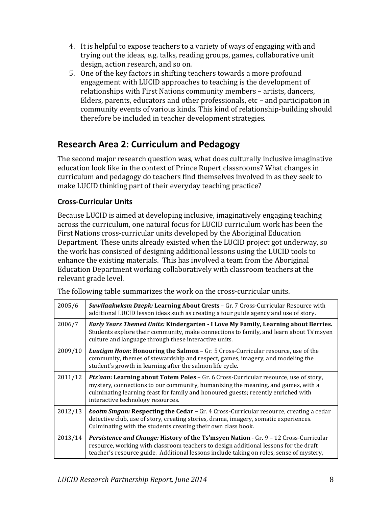- 4. It is helpful to expose teachers to a variety of ways of engaging with and trying out the ideas, e.g. talks, reading groups, games, collaborative unit design, action research, and so on.
- 5. One of the key factors in shifting teachers towards a more profound engagement with LUCID approaches to teaching is the development of relationships with First Nations community members - artists, dancers, Elders, parents, educators and other professionals, etc  $-$  and participation in community events of various kinds. This kind of relationship-building should therefore be included in teacher development strategies.

# **Research Area 2: Curriculum and Pedagogy**

The second major research question was, what does culturally inclusive imaginative education look like in the context of Prince Rupert classrooms? What changes in curriculum and pedagogy do teachers find themselves involved in as they seek to make LUCID thinking part of their everyday teaching practice?

### **Cross-Curricular Units**

Because LUCID is aimed at developing inclusive, imaginatively engaging teaching across the curriculum, one natural focus for LUCID curriculum work has been the First Nations cross-curricular units developed by the Aboriginal Education Department. These units already existed when the LUCID project got underway, so the work has consisted of designing additional lessons using the LUCID tools to enhance the existing materials. This has involved a team from the Aboriginal Education Department working collaboratively with classroom teachers at the relevant grade level.

|  |  | The following table summarizes the work on the cross-curricular units. |  |  |  |  |
|--|--|------------------------------------------------------------------------|--|--|--|--|
|--|--|------------------------------------------------------------------------|--|--|--|--|

| 2005/6  | <b>Suwilaakwksm Dzepk: Learning About Crests - Gr. 7 Cross-Curricular Resource with</b><br>additional LUCID lesson ideas such as creating a tour guide agency and use of story.                                                                                                                    |
|---------|----------------------------------------------------------------------------------------------------------------------------------------------------------------------------------------------------------------------------------------------------------------------------------------------------|
| 2006/7  | <b>Early Years Themed Units: Kindergarten - I Love My Family, Learning about Berries.</b><br>Students explore their community, make connections to family, and learn about Ts'msyen<br>culture and language through these interactive units.                                                       |
| 2009/10 | <b><i>Luutigm Hoon:</i></b> Honouring the Salmon – Gr. 5 Cross-Curricular resource, use of the<br>community, themes of stewardship and respect, games, imagery, and modeling the<br>student's growth in learning after the salmon life cycle.                                                      |
| 2011/12 | Pts'aan: Learning about Totem Poles - Gr. 6 Cross-Curricular resource, use of story,<br>mystery, connections to our community, humanizing the meaning, and games, with a<br>culminating learning feast for family and honoured guests; recently enriched with<br>interactive technology resources. |
| 2012/13 | <i>Lootm Smgan:</i> Respecting the Cedar - Gr. 4 Cross-Curricular resource, creating a cedar<br>detective club, use of story, creating stories, drama, imagery, somatic experiences.<br>Culminating with the students creating their own class book.                                               |
| 2013/14 | Persistence and Change: History of the Ts'msyen Nation - Gr. 9 - 12 Cross-Curricular<br>resource, working with classroom teachers to design additional lessons for the draft<br>teacher's resource guide. Additional lessons include taking on roles, sense of mystery,                            |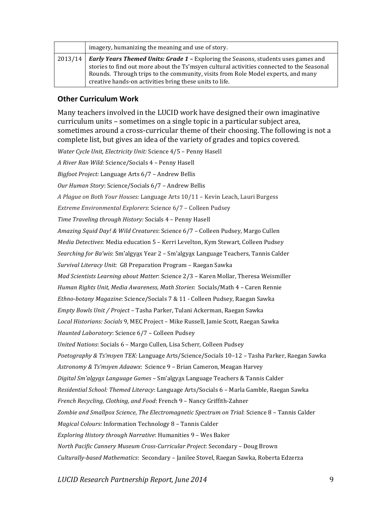| imagery, humanizing the meaning and use of story.                                                                                                                                                                                                                                                                                             |  |  |
|-----------------------------------------------------------------------------------------------------------------------------------------------------------------------------------------------------------------------------------------------------------------------------------------------------------------------------------------------|--|--|
| 2013/14 <b>Early Years Themed Units: Grade 1 -</b> Exploring the Seasons, students uses games and<br>stories to find out more about the Ts'msyen cultural activities connected to the Seasonal<br>Rounds. Through trips to the community, visits from Role Model experts, and many<br>creative hands-on activities bring these units to life. |  |  |

#### **Other Curriculum Work**

Many teachers involved in the LUCID work have designed their own imaginative curriculum units – sometimes on a single topic in a particular subject area, sometimes around a cross-curricular theme of their choosing. The following is not a complete list, but gives an idea of the variety of grades and topics covered.

Water Cycle Unit, Electricity Unit: Science 4/5 - Penny Hasell *A River Ran Wild:* Science/Socials 4 – Penny Hasell *Bigfoot Project:* Language Arts 6/7 – Andrew Bellis *Our Human Story: Science/Socials 6/7 - Andrew Bellis A Plague on Both Your Houses:* Language Arts 10/11 – Kevin Leach, Lauri Burgess *Extreme Environmental Explorers*: Science 6/7 - Colleen Pudsey *Time Traveling through History:* Socials 4 – Penny Hasell Amazing Squid Day! & Wild Creatures: Science 6/7 - Colleen Pudsey, Margo Cullen *Media Detectives*: Media education 5 - Kerri Levelton, Kym Stewart, Colleen Pudsey *Searching for Ba'wis*: Sm'algyax Year 2 - Sm'algyax Language Teachers, Tannis Calder *Survival Literacy Unit:* G8 Preparation Program – Raegan Sawka *Mad Scientists Learning about Matter: Science 2/3 – Karen Mollar, Theresa Weismiller Human Rights Unit, Media Awareness, Math Stories: Socials/Math 4 - Caren Rennie* Ethno-botany Magazine: Science/Socials 7 & 11 - Colleen Pudsey, Raegan Sawka *Empty Bowls Unit / Project* – Tasha Parker, Tulani Ackerman, Raegan Sawka Local Historians: Socials 9, MEC Project - Mike Russell, Jamie Scott, Raegan Sawka *Haunted Laboratory: Science 6/7 - Colleen Pudsey United Nations*: Socials 6 - Margo Cullen, Lisa Scherr, Colleen Pudsey Poetography & Ts'msyen TEK: Language Arts/Science/Socials 10-12 - Tasha Parker, Raegan Sawka *Astronomy & Ts'msyen Adaawx*: Science 9 – Brian Cameron, Meagan Harvey *Digital Sm'algyax Language Games* – Sm'algyax Language Teachers & Tannis Calder *Residential School: Themed Literacy*: Language Arts/Socials 6 – Marla Gamble, Raegan Sawka French Recycling, Clothing, and Food: French 9 - Nancy Griffith-Zahner Zombie and Smallpox Science, The Electromagnetic Spectrum on Trial: Science 8 - Tannis Calder *Magical Colours:* Information Technology 8 - Tannis Calder *Exploring History through Narrative*: Humanities 9 - Wes Baker *North Pacific Cannery Museum Cross-Curricular Project*: Secondary - Doug Brown *Culturally-based Mathematics*: Secondary – Janilee Stovel, Raegan Sawka, Roberta Edzerza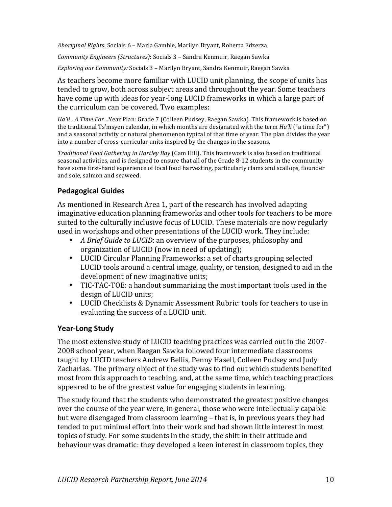*Aboriginal Rights*: Socials 6 – Marla Gamble, Marilyn Bryant, Roberta Edzerza

*Community Engineers (Structures)*: Socials 3 - Sandra Kenmuir, Raegan Sawka

*Exploring our Community:* Socials 3 – Marilyn Bryant, Sandra Kenmuir, Raegan Sawka

As teachers become more familiar with LUCID unit planning, the scope of units has tended to grow, both across subject areas and throughout the year. Some teachers have come up with ideas for year-long LUCID frameworks in which a large part of the curriculum can be covered. Two examples:

*Ha'li…A* Time For…Year Plan: Grade 7 (Colleen Pudsey, Raegan Sawka). This framework is based on the traditional Ts'msyen calendar, in which months are designated with the term *Ha'li* ("a time for") and a seasonal activity or natural phenomenon typical of that time of year. The plan divides the year into a number of cross-curricular units inspired by the changes in the seasons.

*Traditional Food Gathering in Hartley Bay* (Cam Hill). This framework is also based on traditional seasonal activities, and is designed to ensure that all of the Grade 8-12 students in the community have some first-hand experience of local food harvesting, particularly clams and scallops, flounder and sole, salmon and seaweed.

### **Pedagogical Guides**

As mentioned in Research Area 1, part of the research has involved adapting imaginative education planning frameworks and other tools for teachers to be more suited to the culturally inclusive focus of LUCID. These materials are now regularly used in workshops and other presentations of the LUCID work. They include:

- *A Brief Guide to LUCID*: an overview of the purposes, philosophy and organization of LUCID (now in need of updating);
- LUCID Circular Planning Frameworks: a set of charts grouping selected LUCID tools around a central image, quality, or tension, designed to aid in the development of new imaginative units;
- TIC-TAC-TOE: a handout summarizing the most important tools used in the design of LUCID units;
- LUCID Checklists & Dynamic Assessment Rubric: tools for teachers to use in evaluating the success of a LUCID unit.

### **Year-Long Study**

The most extensive study of LUCID teaching practices was carried out in the 2007-2008 school year, when Raegan Sawka followed four intermediate classrooms taught by LUCID teachers Andrew Bellis, Penny Hasell, Colleen Pudsey and Judy Zacharias. The primary object of the study was to find out which students benefited most from this approach to teaching, and, at the same time, which teaching practices appeared to be of the greatest value for engaging students in learning.

The study found that the students who demonstrated the greatest positive changes over the course of the year were, in general, those who were intellectually capable but were disengaged from classroom learning – that is, in previous years they had tended to put minimal effort into their work and had shown little interest in most topics of study. For some students in the study, the shift in their attitude and behaviour was dramatic: they developed a keen interest in classroom topics, they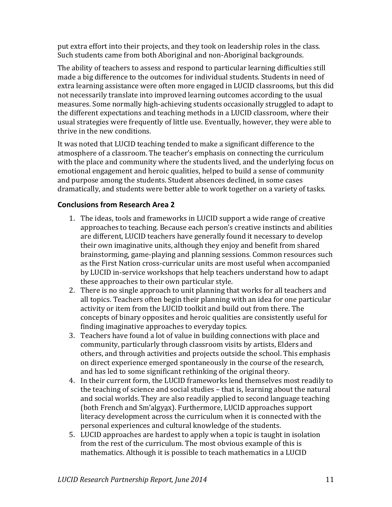put extra effort into their projects, and they took on leadership roles in the class. Such students came from both Aboriginal and non-Aboriginal backgrounds.

The ability of teachers to assess and respond to particular learning difficulties still made a big difference to the outcomes for individual students. Students in need of extra learning assistance were often more engaged in LUCID classrooms, but this did not necessarily translate into improved learning outcomes according to the usual measures. Some normally high-achieving students occasionally struggled to adapt to the different expectations and teaching methods in a LUCID classroom, where their usual strategies were frequently of little use. Eventually, however, they were able to thrive in the new conditions.

It was noted that LUCID teaching tended to make a significant difference to the atmosphere of a classroom. The teacher's emphasis on connecting the curriculum with the place and community where the students lived, and the underlying focus on emotional engagement and heroic qualities, helped to build a sense of community and purpose among the students. Student absences declined, in some cases dramatically, and students were better able to work together on a variety of tasks.

### **Conclusions from Research Area 2**

- 1. The ideas, tools and frameworks in LUCID support a wide range of creative approaches to teaching. Because each person's creative instincts and abilities are different, LUCID teachers have generally found it necessary to develop their own imaginative units, although they enjoy and benefit from shared brainstorming, game-playing and planning sessions. Common resources such as the First Nation cross-curricular units are most useful when accompanied by LUCID in-service workshops that help teachers understand how to adapt these approaches to their own particular style.
- 2. There is no single approach to unit planning that works for all teachers and all topics. Teachers often begin their planning with an idea for one particular activity or item from the LUCID toolkit and build out from there. The concepts of binary opposites and heroic qualities are consistently useful for finding imaginative approaches to everyday topics.
- 3. Teachers have found a lot of value in building connections with place and community, particularly through classroom visits by artists, Elders and others, and through activities and projects outside the school. This emphasis on direct experience emerged spontaneously in the course of the research, and has led to some significant rethinking of the original theory.
- 4. In their current form, the LUCID frameworks lend themselves most readily to the teaching of science and social studies – that is, learning about the natural and social worlds. They are also readily applied to second language teaching (both French and Sm'algyax). Furthermore, LUCID approaches support literacy development across the curriculum when it is connected with the personal experiences and cultural knowledge of the students.
- 5. LUCID approaches are hardest to apply when a topic is taught in isolation from the rest of the curriculum. The most obvious example of this is mathematics. Although it is possible to teach mathematics in a LUCID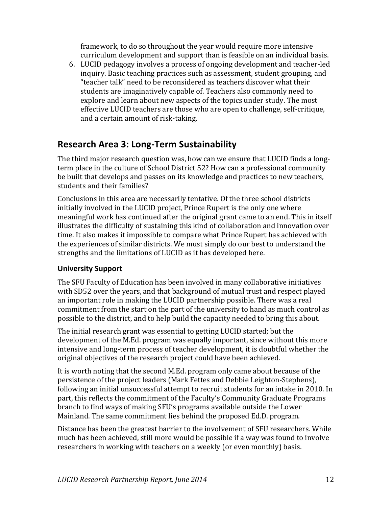framework, to do so throughout the year would require more intensive curriculum development and support than is feasible on an individual basis.

6. LUCID pedagogy involves a process of ongoing development and teacher-led inquiry. Basic teaching practices such as assessment, student grouping, and "teacher talk" need to be reconsidered as teachers discover what their students are imaginatively capable of. Teachers also commonly need to explore and learn about new aspects of the topics under study. The most effective LUCID teachers are those who are open to challenge, self-critique, and a certain amount of risk-taking.

# **Research Area 3: Long-Term Sustainability**

The third major research question was, how can we ensure that LUCID finds a longterm place in the culture of School District 52? How can a professional community be built that develops and passes on its knowledge and practices to new teachers, students and their families?

Conclusions in this area are necessarily tentative. Of the three school districts initially involved in the LUCID project, Prince Rupert is the only one where meaningful work has continued after the original grant came to an end. This in itself illustrates the difficulty of sustaining this kind of collaboration and innovation over time. It also makes it impossible to compare what Prince Rupert has achieved with the experiences of similar districts. We must simply do our best to understand the strengths and the limitations of LUCID as it has developed here.

### **University Support**

The SFU Faculty of Education has been involved in many collaborative initiatives with SD52 over the years, and that background of mutual trust and respect played an important role in making the LUCID partnership possible. There was a real commitment from the start on the part of the university to hand as much control as possible to the district, and to help build the capacity needed to bring this about.

The initial research grant was essential to getting LUCID started; but the development of the M.Ed. program was equally important, since without this more intensive and long-term process of teacher development, it is doubtful whether the original objectives of the research project could have been achieved.

It is worth noting that the second M.Ed. program only came about because of the persistence of the project leaders (Mark Fettes and Debbie Leighton-Stephens), following an initial unsuccessful attempt to recruit students for an intake in 2010. In part, this reflects the commitment of the Faculty's Community Graduate Programs branch to find ways of making SFU's programs available outside the Lower Mainland. The same commitment lies behind the proposed Ed.D. program.

Distance has been the greatest barrier to the involvement of SFU researchers. While much has been achieved, still more would be possible if a way was found to involve researchers in working with teachers on a weekly (or even monthly) basis.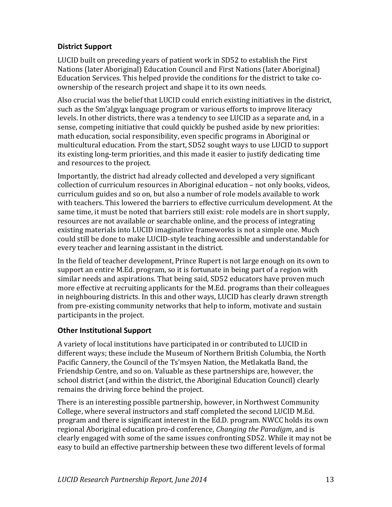### **District Support**

LUCID built on preceding years of patient work in SD52 to establish the First Nations (later Aboriginal) Education Council and First Nations (later Aboriginal) Education Services. This helped provide the conditions for the district to take coownership of the research project and shape it to its own needs.

Also crucial was the belief that LUCID could enrich existing initiatives in the district, such as the Sm'algyax language program or various efforts to improve literacy levels. In other districts, there was a tendency to see LUCID as a separate and, in a sense, competing initiative that could quickly be pushed aside by new priorities: math education, social responsibility, even specific programs in Aboriginal or multicultural education. From the start, SD52 sought ways to use LUCID to support its existing long-term priorities, and this made it easier to justify dedicating time and resources to the project.

Importantly, the district had already collected and developed a very significant collection of curriculum resources in Aboriginal education – not only books, videos, curriculum guides and so on, but also a number of role models available to work with teachers. This lowered the barriers to effective curriculum development. At the same time, it must be noted that barriers still exist: role models are in short supply, resources are not available or searchable online, and the process of integrating existing materials into LUCID imaginative frameworks is not a simple one. Much could still be done to make LUCID-style teaching accessible and understandable for every teacher and learning assistant in the district.

In the field of teacher development, Prince Rupert is not large enough on its own to support an entire M.Ed. program, so it is fortunate in being part of a region with similar needs and aspirations. That being said, SD52 educators have proven much more effective at recruiting applicants for the M.Ed. programs than their colleagues in neighbouring districts. In this and other ways, LUCID has clearly drawn strength from pre-existing community networks that help to inform, motivate and sustain participants in the project.

### **Other Institutional Support**

A variety of local institutions have participated in or contributed to LUCID in different ways; these include the Museum of Northern British Columbia, the North Pacific Cannery, the Council of the Ts'msyen Nation, the Metlakatla Band, the Friendship Centre, and so on. Valuable as these partnerships are, however, the school district (and within the district, the Aboriginal Education Council) clearly remains the driving force behind the project.

There is an interesting possible partnership, however, in Northwest Community College, where several instructors and staff completed the second LUCID M.Ed. program and there is significant interest in the Ed.D. program. NWCC holds its own regional Aboriginal education pro-d conference, *Changing the Paradigm*, and is clearly engaged with some of the same issues confronting SD52. While it may not be easy to build an effective partnership between these two different levels of formal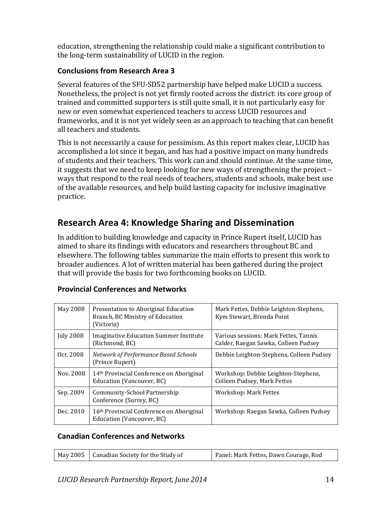education, strengthening the relationship could make a significant contribution to the long-term sustainability of LUCID in the region.

### **Conclusions from Research Area 3**

Several features of the SFU-SD52 partnership have helped make LUCID a success. Nonetheless, the project is not yet firmly rooted across the district: its core group of trained and committed supporters is still quite small, it is not particularly easy for new or even somewhat experienced teachers to access LUCID resources and frameworks, and it is not yet widely seen as an approach to teaching that can benefit all teachers and students.

This is not necessarily a cause for pessimism. As this report makes clear, LUCID has accomplished a lot since it began, and has had a positive impact on many hundreds of students and their teachers. This work can and should continue. At the same time, it suggests that we need to keep looking for new ways of strengthening the project  $$ ways that respond to the real needs of teachers, students and schools, make best use of the available resources, and help build lasting capacity for inclusive imaginative practice.

# **Research Area 4: Knowledge Sharing and Dissemination**

In addition to building knowledge and capacity in Prince Rupert itself, LUCID has aimed to share its findings with educators and researchers throughout BC and elsewhere. The following tables summarize the main efforts to present this work to broader audiences. A lot of written material has been gathered during the project that will provide the basis for two forthcoming books on LUCID.

| May 2008         | Presentation to Aboriginal Education<br>Branch, BC Ministry of Education<br>(Victoria) | Mark Fettes, Debbie Leighton-Stephens,<br>Kym Stewart, Brenda Point           |
|------------------|----------------------------------------------------------------------------------------|-------------------------------------------------------------------------------|
| <b>July 2008</b> | Imaginative Education Summer Institute<br>(Richmond, BC)                               | Various sessions: Mark Fettes, Tannis<br>Calder, Raegan Sawka, Colleen Pudsey |
| Oct. 2008        | Network of Performance Based Schools<br>(Prince Rupert)                                | Debbie Leighton-Stephens, Colleen Pudsey                                      |
| Nov. 2008        | 14 <sup>th</sup> Provincial Conference on Aboriginal<br>Education (Vancouver, BC)      | Workshop: Debbie Leighton-Stephens,<br>Colleen Pudsey, Mark Fettes            |
| Sep. 2009        | Community-School Partnership<br>Conference (Surrey, BC)                                | Workshop: Mark Fettes                                                         |
| Dec. 2010        | 16 <sup>th</sup> Provincial Conference on Aboriginal<br>Education (Vancouver, BC)      | Workshop: Raegan Sawka, Colleen Pudsey                                        |

### **Provincial Conferences and Networks**

#### **Canadian Conferences and Networks**

| $\mid$ May 2005 $\mid$ Canadian Society for the Study of | Panel: Mark Fettes, Dawn Courage, Rod |
|----------------------------------------------------------|---------------------------------------|
|----------------------------------------------------------|---------------------------------------|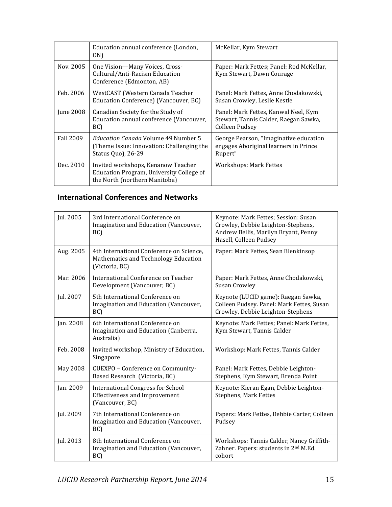|                  | Education annual conference (London,<br>ON)                                                                     | McKellar, Kym Stewart                                                                           |
|------------------|-----------------------------------------------------------------------------------------------------------------|-------------------------------------------------------------------------------------------------|
| Nov. 2005        | One Vision-Many Voices, Cross-<br>Cultural/Anti-Racism Education<br>Conference (Edmonton, AB)                   | Paper: Mark Fettes; Panel: Rod McKellar,<br>Kym Stewart, Dawn Courage                           |
| Feb. 2006        | WestCAST (Western Canada Teacher<br>Education Conference) (Vancouver, BC)                                       | Panel: Mark Fettes, Anne Chodakowski,<br>Susan Crowley, Leslie Kestle                           |
| June 2008        | Canadian Society for the Study of<br>Education annual conference (Vancouver,<br>BC)                             | Panel: Mark Fettes, Kanwal Neel, Kym<br>Stewart, Tannis Calder, Raegan Sawka,<br>Colleen Pudsey |
| <b>Fall 2009</b> | <i>Education Canada</i> Volume 49 Number 5<br>(Theme Issue: Innovation: Challenging the<br>Status Quo), 26-29   | George Pearson, "Imaginative education<br>engages Aboriginal learners in Prince<br>Rupert"      |
| Dec. 2010        | Invited workshops, Kenanow Teacher<br>Education Program, University College of<br>the North (northern Manitoba) | Workshops: Mark Fettes                                                                          |

### **International Conferences and Networks**

| Jul. 2005 | 3rd International Conference on<br>Imagination and Education (Vancouver,<br>BC)                     | Keynote: Mark Fettes; Session: Susan<br>Crowley, Debbie Leighton-Stephens,<br>Andrew Bellis, Marilyn Bryant, Penny<br>Hasell, Colleen Pudsey |  |
|-----------|-----------------------------------------------------------------------------------------------------|----------------------------------------------------------------------------------------------------------------------------------------------|--|
| Aug. 2005 | 4th International Conference on Science,<br>Mathematics and Technology Education<br>(Victoria, BC)  | Paper: Mark Fettes, Sean Blenkinsop                                                                                                          |  |
| Mar. 2006 | International Conference on Teacher<br>Development (Vancouver, BC)                                  | Paper: Mark Fettes, Anne Chodakowski,<br>Susan Crowley                                                                                       |  |
| Jul. 2007 | 5th International Conference on<br>Imagination and Education (Vancouver,<br>BC)                     | Keynote (LUCID game): Raegan Sawka,<br>Colleen Pudsey. Panel: Mark Fettes, Susan<br>Crowley, Debbie Leighton-Stephens                        |  |
| Jan. 2008 | 6th International Conference on<br>Imagination and Education (Canberra,<br>Australia)               | Keynote: Mark Fettes; Panel: Mark Fettes,<br>Kym Stewart, Tannis Calder                                                                      |  |
| Feb. 2008 | Invited workshop, Ministry of Education,<br>Singapore                                               | Workshop: Mark Fettes, Tannis Calder                                                                                                         |  |
| May 2008  | CUEXPO - Conference on Community-<br>Based Research (Victoria, BC)                                  | Panel: Mark Fettes, Debbie Leighton-<br>Stephens, Kym Stewart, Brenda Point                                                                  |  |
| Jan. 2009 | <b>International Congress for School</b><br><b>Effectiveness and Improvement</b><br>(Vancouver, BC) | Keynote: Kieran Egan, Debbie Leighton-<br><b>Stephens, Mark Fettes</b>                                                                       |  |
| Jul. 2009 | 7th International Conference on<br>Imagination and Education (Vancouver,<br>BC)                     | Papers: Mark Fettes, Debbie Carter, Colleen<br>Pudsey                                                                                        |  |
| Jul. 2013 | 8th International Conference on<br>Imagination and Education (Vancouver,<br>BC)                     | Workshops: Tannis Calder, Nancy Griffith-<br>Zahner. Papers: students in 2 <sup>nd</sup> M.Ed.<br>cohort                                     |  |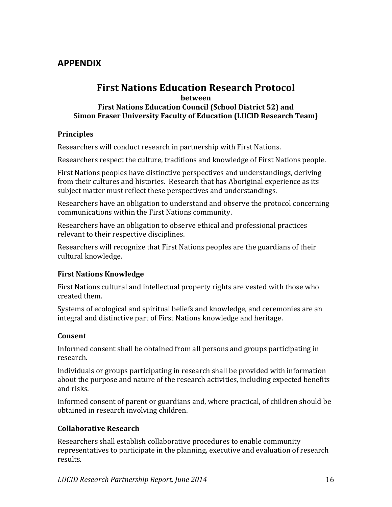### **APPENDIX**

### **First Nations Education Research Protocol between First Nations Education Council (School District 52) and Simon Fraser University Faculty of Education (LUCID Research Team)**

### **Principles**

Researchers will conduct research in partnership with First Nations.

Researchers respect the culture, traditions and knowledge of First Nations people.

First Nations peoples have distinctive perspectives and understandings, deriving from their cultures and histories. Research that has Aboriginal experience as its subject matter must reflect these perspectives and understandings.

Researchers have an obligation to understand and observe the protocol concerning communications within the First Nations community.

Researchers have an obligation to observe ethical and professional practices relevant to their respective disciplines.

Researchers will recognize that First Nations peoples are the guardians of their cultural knowledge.

#### **First Nations Knowledge**

First Nations cultural and intellectual property rights are vested with those who created them.

Systems of ecological and spiritual beliefs and knowledge, and ceremonies are an integral and distinctive part of First Nations knowledge and heritage.

### **Consent**

Informed consent shall be obtained from all persons and groups participating in research.

Individuals or groups participating in research shall be provided with information about the purpose and nature of the research activities, including expected benefits and risks.

Informed consent of parent or guardians and, where practical, of children should be obtained in research involving children.

### **Collaborative Research**

Researchers shall establish collaborative procedures to enable community representatives to participate in the planning, executive and evaluation of research results.